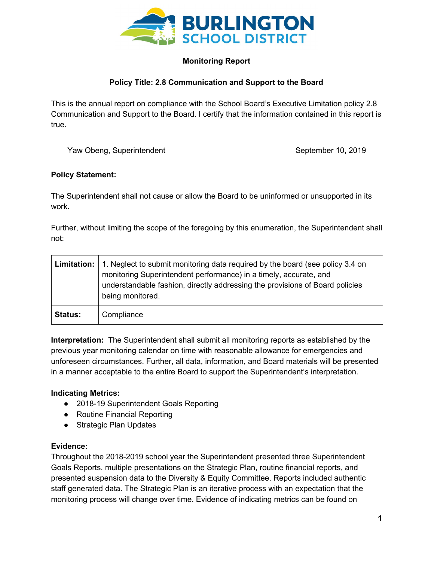

# **Monitoring Report**

## **Policy Title: 2.8 Communication and Support to the Board**

This is the annual report on compliance with the School Board's Executive Limitation policy 2.8 Communication and Support to the Board. I certify that the information contained in this report is true.

### Yaw Obeng, Superintendent September 10, 2019

### **Policy Statement:**

The Superintendent shall not cause or allow the Board to be uninformed or unsupported in its work.

Further, without limiting the scope of the foregoing by this enumeration, the Superintendent shall not:

|                | <b>Limitation:</b> 1. Neglect to submit monitoring data required by the board (see policy 3.4 on<br>monitoring Superintendent performance) in a timely, accurate, and<br>understandable fashion, directly addressing the provisions of Board policies<br>being monitored. |
|----------------|---------------------------------------------------------------------------------------------------------------------------------------------------------------------------------------------------------------------------------------------------------------------------|
| <b>Status:</b> | Compliance                                                                                                                                                                                                                                                                |

**Interpretation:** The Superintendent shall submit all monitoring reports as established by the previous year monitoring calendar on time with reasonable allowance for emergencies and unforeseen circumstances. Further, all data, information, and Board materials will be presented in a manner acceptable to the entire Board to support the Superintendent's interpretation.

## **Indicating Metrics:**

- 2018-19 Superintendent Goals Reporting
- Routine Financial Reporting
- Strategic Plan Updates

#### **Evidence:**

Throughout the 2018-2019 school year the Superintendent presented three Superintendent Goals Reports, multiple presentations on the Strategic Plan, routine financial reports, and presented suspension data to the Diversity & Equity Committee. Reports included authentic staff generated data. The Strategic Plan is an iterative process with an expectation that the monitoring process will change over time. Evidence of indicating metrics can be found on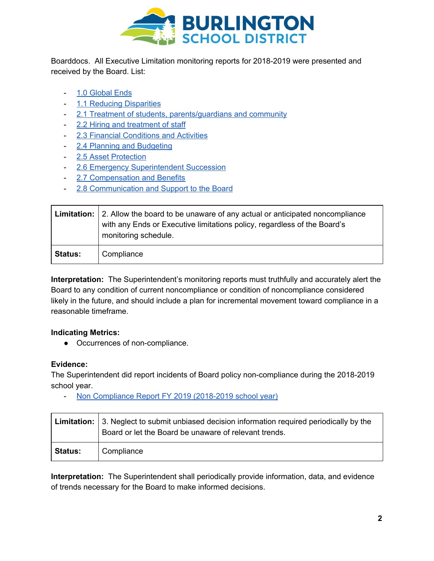

Boarddocs. All Executive Limitation monitoring reports for 2018-2019 were presented and received by the Board. List:

- 1.0 [Global](https://docs.google.com/document/d/1Oo1_xP8TgodzT2EdxHK-tNc6R-eRYfy8GsvLSMG4_cI/edit?usp=sharing) Ends
- 1.1 Reducing [Disparities](https://docs.google.com/document/d/1wVyfb_Z4iDwBdczpCPzp5Zv0ILDle0KDXb1GoVKGYVw/edit?usp=sharing)
- 2.1 Treatment of students, [parents/guardians](https://docs.google.com/document/d/1J5CxfsBXPcHJcqVJrzeu12ONsGU2Kt7J2gtQkuYtwxc/edit?usp=sharing) and community
- 2.2 Hiring and [treatment](https://docs.google.com/document/d/1244YRbAeER3h49CwNGsoLuxm6oAzDvVtFgfRoG7LL4Q/edit?usp=sharing) of staff
- 2.3 Financial [Conditions](https://docs.google.com/document/d/1xouzGas7twL0JXfrWPo_kUwZ24T8kDPTKjqsOiBSufY/edit?usp=sharing) and Activities
- 2.4 Planning and [Budgeting](https://docs.google.com/document/d/1GJ9CHTeySF5UXI7-noHy_KHveb5Cp8D3KB1HGjUsOtI/edit?usp=sharing)
- 2.5 Asset [Protection](https://docs.google.com/document/d/1OM7r9RJSX0_odPNrxDriVa5lN9d2JgVFRioxfbusKmI/edit?usp=sharing)
- 2.6 Emergency [Superintendent](https://docs.google.com/document/d/1N24wKGwGBT8fSsb_k4U38vx1WNl4ilCoP6wqS40rSnI/edit?usp=sharing) Succession
- 2.7 [Compensation](https://docs.google.com/document/d/1CRCFzGOWQekrhsqjIT7MItXwK_8pdkChgMbLr_rNKIY/edit?usp=sharing) and Benefits
- 2.8 [Communication](https://docs.google.com/document/d/1tNOyozbktOjJQPzYGNmmmhEhqGWdQlM1ftlSxAKeM98/edit?usp=sharing) and Support to the Board

|                | <b>Limitation:</b> 2. Allow the board to be unaware of any actual or anticipated noncompliance<br>with any Ends or Executive limitations policy, regardless of the Board's<br>monitoring schedule. |
|----------------|----------------------------------------------------------------------------------------------------------------------------------------------------------------------------------------------------|
| <b>Status:</b> | Compliance                                                                                                                                                                                         |

**Interpretation:** The Superintendent's monitoring reports must truthfully and accurately alert the Board to any condition of current noncompliance or condition of noncompliance considered likely in the future, and should include a plan for incremental movement toward compliance in a reasonable timeframe.

## **Indicating Metrics:**

● Occurrences of non-compliance.

## **Evidence:**

The Superintendent did report incidents of Board policy non-compliance during the 2018-2019 school year.

- Non [Compliance](https://docs.google.com/document/d/1kojoAq6TRfa1JnJmGUBTF-rWVvzJPqhnlVyfryCXnIM/edit?usp=sharing) Report FY 2019 (2018-2019 school year)

|         | <b>Limitation:</b> 3. Neglect to submit unbiased decision information required periodically by the<br>Board or let the Board be unaware of relevant trends. |
|---------|-------------------------------------------------------------------------------------------------------------------------------------------------------------|
| Status: | Compliance                                                                                                                                                  |

**Interpretation:** The Superintendent shall periodically provide information, data, and evidence of trends necessary for the Board to make informed decisions.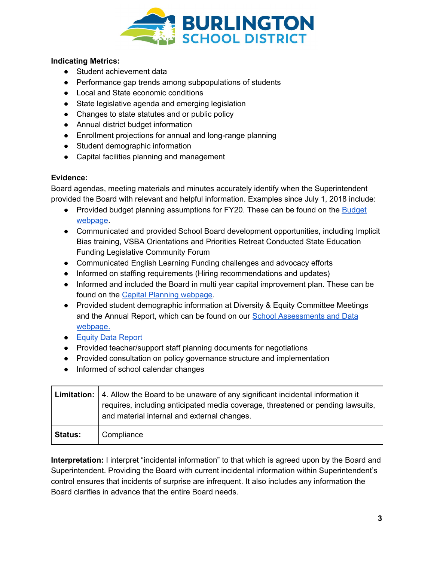

## **Indicating Metrics:**

- Student achievement data
- Performance gap trends among subpopulations of students
- Local and State economic conditions
- State legislative agenda and emerging legislation
- Changes to state statutes and or public policy
- Annual district budget information
- Enrollment projections for annual and long-range planning
- Student demographic information
- Capital facilities planning and management

### **Evidence:**

Board agendas, meeting materials and minutes accurately identify when the Superintendent provided the Board with relevant and helpful information. Examples since July 1, 2018 include:

- Provided budget planning assumptions for FY20. These can be found on the **[Budget](http://www.bsdvt.org/district/budget/)** [webpage](http://www.bsdvt.org/district/budget/).
- Communicated and provided School Board development opportunities, including Implicit Bias training, VSBA Orientations and Priorities Retreat Conducted State Education Funding Legislative Community Forum
- Communicated English Learning Funding challenges and advocacy efforts
- Informed on staffing requirements (Hiring recommendations and updates)
- Informed and included the Board in multi year capital improvement plan. These can be found on the Capital Planning [webpage.](http://www.bsdvt.org/district/budget/capital-planning/)
- Provided student demographic information at Diversity & Equity Committee Meetings and the Annual Report, which can be found on our School [Assessments](https://docs.google.com/document/d/1YqAfttT7BWPhBRjpyHVajAZNeQrY3vliS_ua-ZcoE5o/edit?usp=sharing) and Data [webpage.](https://docs.google.com/document/d/1YqAfttT7BWPhBRjpyHVajAZNeQrY3vliS_ua-ZcoE5o/edit?usp=sharing)
- Equity Data [Report](https://docs.google.com/document/d/1YqAfttT7BWPhBRjpyHVajAZNeQrY3vliS_ua-ZcoE5o/edit?usp=sharing)
- Provided teacher/support staff planning documents for negotiations
- Provided consultation on policy governance structure and implementation
- Informed of school calendar changes

|                | <b>Limitation:</b> 4. Allow the Board to be unaware of any significant incidental information it<br>requires, including anticipated media coverage, threatened or pending lawsuits,<br>and material internal and external changes. |
|----------------|------------------------------------------------------------------------------------------------------------------------------------------------------------------------------------------------------------------------------------|
| <b>Status:</b> | Compliance                                                                                                                                                                                                                         |

**Interpretation:** I interpret "incidental information" to that which is agreed upon by the Board and Superintendent. Providing the Board with current incidental information within Superintendent's control ensures that incidents of surprise are infrequent. It also includes any information the Board clarifies in advance that the entire Board needs.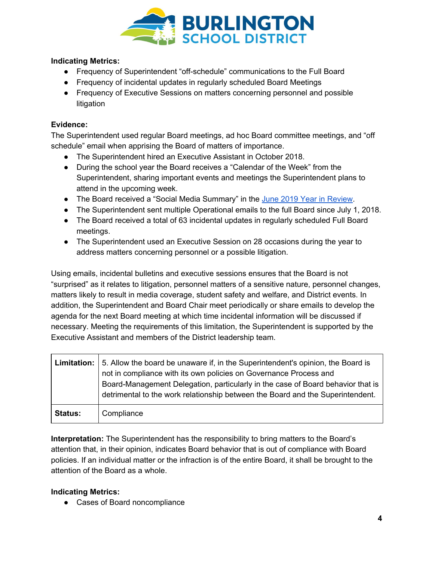

## **Indicating Metrics:**

- Frequency of Superintendent "off-schedule" communications to the Full Board
- Frequency of incidental updates in regularly scheduled Board Meetings
- Frequency of Executive Sessions on matters concerning personnel and possible litigation

## **Evidence:**

The Superintendent used regular Board meetings, ad hoc Board committee meetings, and "off schedule" email when apprising the Board of matters of importance.

- The Superintendent hired an Executive Assistant in October 2018.
- During the school year the Board receives a "Calendar of the Week" from the Superintendent, sharing important events and meetings the Superintendent plans to attend in the upcoming week.
- The Board received a "Social Media Summary" in the June 2019 Year in [Review.](https://docs.google.com/presentation/d/1qFle6Y2qqg7lWLnWH8Mspx1NCtG-PDniSeS3VIDVGj4/edit?usp=sharing)
- The Superintendent sent multiple Operational emails to the full Board since July 1, 2018.
- The Board received a total of 63 incidental updates in regularly scheduled Full Board meetings.
- The Superintendent used an Executive Session on 28 occasions during the year to address matters concerning personnel or a possible litigation.

Using emails, incidental bulletins and executive sessions ensures that the Board is not "surprised" as it relates to litigation, personnel matters of a sensitive nature, personnel changes, matters likely to result in media coverage, student safety and welfare, and District events. In addition, the Superintendent and Board Chair meet periodically or share emails to develop the agenda for the next Board meeting at which time incidental information will be discussed if necessary. Meeting the requirements of this limitation, the Superintendent is supported by the Executive Assistant and members of the District leadership team.

|                | <b>Limitation:</b> 5. Allow the board be unaware if, in the Superintendent's opinion, the Board is<br>not in compliance with its own policies on Governance Process and<br>Board-Management Delegation, particularly in the case of Board behavior that is<br>detrimental to the work relationship between the Board and the Superintendent. |
|----------------|----------------------------------------------------------------------------------------------------------------------------------------------------------------------------------------------------------------------------------------------------------------------------------------------------------------------------------------------|
| <b>Status:</b> | Compliance                                                                                                                                                                                                                                                                                                                                   |

**Interpretation:** The Superintendent has the responsibility to bring matters to the Board's attention that, in their opinion, indicates Board behavior that is out of compliance with Board policies. If an individual matter or the infraction is of the entire Board, it shall be brought to the attention of the Board as a whole.

## **Indicating Metrics:**

● Cases of Board noncompliance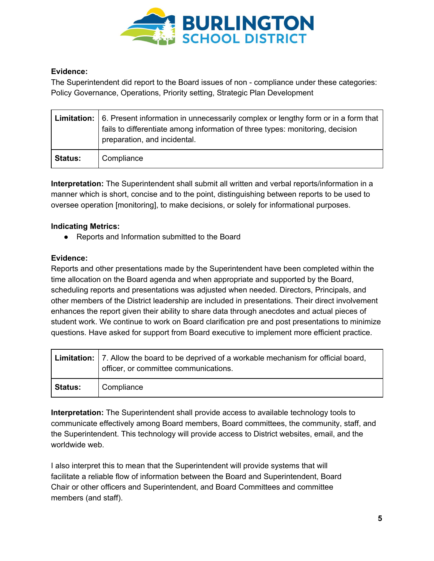

## **Evidence:**

The Superintendent did report to the Board issues of non - compliance under these categories: Policy Governance, Operations, Priority setting, Strategic Plan Development

|                | <b>Limitation:</b> $\vert$ 6. Present information in unnecessarily complex or lengthy form or in a form that<br>fails to differentiate among information of three types: monitoring, decision<br>preparation, and incidental. |
|----------------|-------------------------------------------------------------------------------------------------------------------------------------------------------------------------------------------------------------------------------|
| <b>Status:</b> | Compliance                                                                                                                                                                                                                    |

**Interpretation:** The Superintendent shall submit all written and verbal reports/information in a manner which is short, concise and to the point, distinguishing between reports to be used to oversee operation [monitoring], to make decisions, or solely for informational purposes.

# **Indicating Metrics:**

● Reports and Information submitted to the Board

## **Evidence:**

Reports and other presentations made by the Superintendent have been completed within the time allocation on the Board agenda and when appropriate and supported by the Board, scheduling reports and presentations was adjusted when needed. Directors, Principals, and other members of the District leadership are included in presentations. Their direct involvement enhances the report given their ability to share data through anecdotes and actual pieces of student work. We continue to work on Board clarification pre and post presentations to minimize questions. Have asked for support from Board executive to implement more efficient practice.

|                | Limitation:   7. Allow the board to be deprived of a workable mechanism for official board,<br>officer, or committee communications. |
|----------------|--------------------------------------------------------------------------------------------------------------------------------------|
| <b>Status:</b> | Compliance                                                                                                                           |

**Interpretation:** The Superintendent shall provide access to available technology tools to communicate effectively among Board members, Board committees, the community, staff, and the Superintendent. This technology will provide access to District websites, email, and the worldwide web.

I also interpret this to mean that the Superintendent will provide systems that will facilitate a reliable flow of information between the Board and Superintendent, Board Chair or other officers and Superintendent, and Board Committees and committee members (and staff).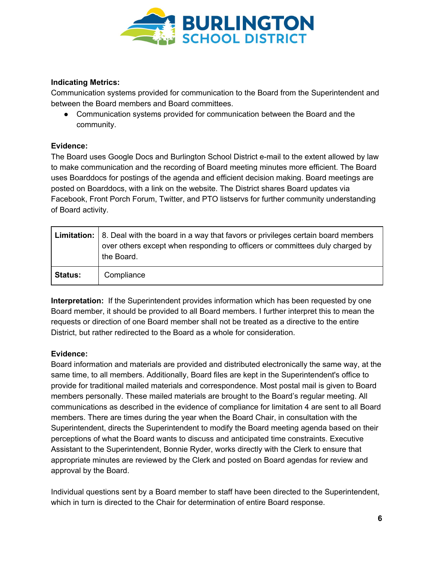

### **Indicating Metrics:**

Communication systems provided for communication to the Board from the Superintendent and between the Board members and Board committees.

• Communication systems provided for communication between the Board and the community.

### **Evidence:**

The Board uses Google Docs and Burlington School District e-mail to the extent allowed by law to make communication and the recording of Board meeting minutes more efficient. The Board uses Boarddocs for postings of the agenda and efficient decision making. Board meetings are posted on Boarddocs, with a link on the website. The District shares Board updates via Facebook, Front Porch Forum, Twitter, and PTO listservs for further community understanding of Board activity.

|                | <b>Limitation:</b> $\vert$ 8. Deal with the board in a way that favors or privileges certain board members<br>over others except when responding to officers or committees duly charged by<br>the Board. |
|----------------|----------------------------------------------------------------------------------------------------------------------------------------------------------------------------------------------------------|
| <b>Status:</b> | Compliance                                                                                                                                                                                               |

**Interpretation:** If the Superintendent provides information which has been requested by one Board member, it should be provided to all Board members. I further interpret this to mean the requests or direction of one Board member shall not be treated as a directive to the entire District, but rather redirected to the Board as a whole for consideration.

#### **Evidence:**

Board information and materials are provided and distributed electronically the same way, at the same time, to all members. Additionally, Board files are kept in the Superintendent's office to provide for traditional mailed materials and correspondence. Most postal mail is given to Board members personally. These mailed materials are brought to the Board's regular meeting. All communications as described in the evidence of compliance for limitation 4 are sent to all Board members. There are times during the year when the Board Chair, in consultation with the Superintendent, directs the Superintendent to modify the Board meeting agenda based on their perceptions of what the Board wants to discuss and anticipated time constraints. Executive Assistant to the Superintendent, Bonnie Ryder, works directly with the Clerk to ensure that appropriate minutes are reviewed by the Clerk and posted on Board agendas for review and approval by the Board.

Individual questions sent by a Board member to staff have been directed to the Superintendent, which in turn is directed to the Chair for determination of entire Board response.